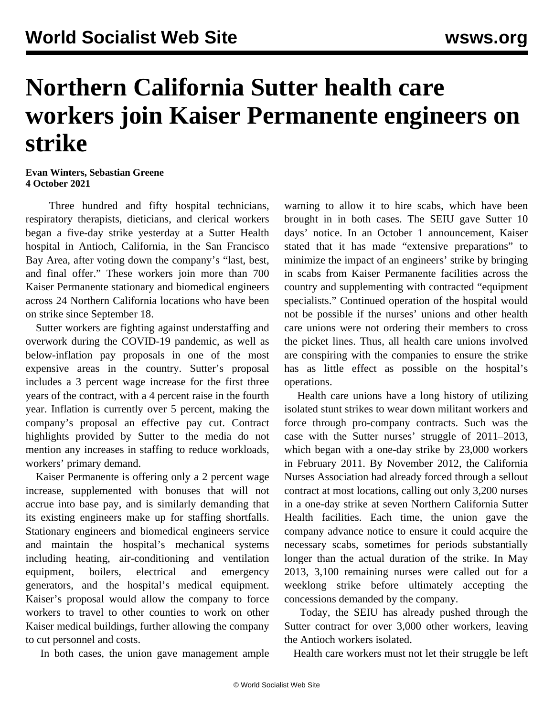## **Northern California Sutter health care workers join Kaiser Permanente engineers on strike**

**Evan Winters, Sebastian Greene 4 October 2021**

 Three hundred and fifty hospital technicians, respiratory therapists, dieticians, and clerical workers began a five-day strike yesterday at a Sutter Health hospital in Antioch, California, in the San Francisco Bay Area, after voting down the company's "last, best, and final offer." These workers join more than 700 Kaiser Permanente stationary and biomedical engineers across 24 Northern California locations who have been on strike since September 18.

 Sutter workers are fighting against understaffing and overwork during the COVID-19 pandemic, as well as below-inflation pay proposals in one of the most expensive areas in the country. Sutter's proposal includes a 3 percent wage increase for the first three years of the contract, with a 4 percent raise in the fourth year. Inflation is currently over 5 percent, making the company's proposal an effective pay cut. Contract highlights provided by Sutter to the media do not mention any increases in staffing to reduce workloads, workers' primary demand.

 Kaiser Permanente is offering only a 2 percent wage increase, supplemented with bonuses that will not accrue into base pay, and is similarly demanding that its existing engineers make up for staffing shortfalls. Stationary engineers and biomedical engineers service and maintain the hospital's mechanical systems including heating, air-conditioning and ventilation equipment, boilers, electrical and emergency generators, and the hospital's medical equipment. Kaiser's proposal would allow the company to force workers to travel to other counties to work on other Kaiser medical buildings, further allowing the company to cut personnel and costs.

In both cases, the union gave management ample

warning to allow it to hire scabs, which have been brought in in both cases. The SEIU gave Sutter 10 days' notice. In an October 1 announcement, Kaiser stated that it has made "extensive preparations" to minimize the impact of an engineers' strike by bringing in scabs from Kaiser Permanente facilities across the country and supplementing with contracted "equipment specialists." Continued operation of the hospital would not be possible if the nurses' unions and other health care unions were not ordering their members to cross the picket lines. Thus, all health care unions involved are conspiring with the companies to ensure the strike has as little effect as possible on the hospital's operations.

 Health care unions have a long history of utilizing isolated stunt strikes to wear down militant workers and force through pro-company contracts. Such was the case with the Sutter nurses' struggle of 2011–2013, which began with a one-day strike by 23,000 workers in February 2011. By November 2012, the California Nurses Association had already forced through a sellout contract at most locations, calling out only 3,200 nurses in a [one-day strike](/en/articles/2012/11/nurs-n02.html) at seven Northern California Sutter Health facilities. Each time, the union gave the company advance notice to ensure it could acquire the necessary scabs, sometimes for periods substantially longer than the actual duration of the strike. In May 2013, 3,100 remaining nurses were called out for a [weeklong strike](/en/articles/2013/05/23/cnas-m23.html) before ultimately accepting the concessions demanded by the company.

 Today, the SEIU has already pushed through the Sutter contract for over 3,000 other workers, leaving the Antioch workers isolated.

Health care workers must not let their struggle be left